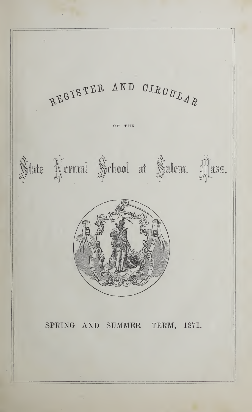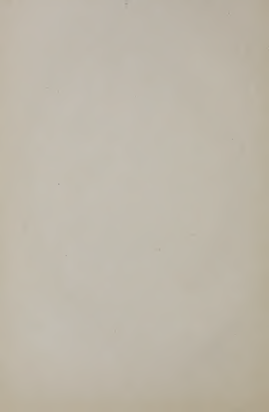÷  $\bar{\gamma}$  $\ddot{\phantom{0}}$  $\sim 100$  km s  $^{-1}$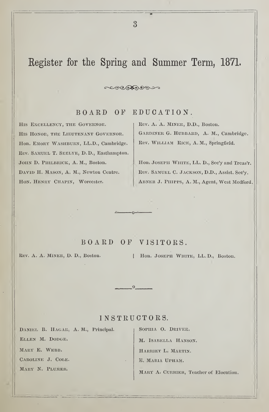# Register for the Spring and Summer Term, 1871.

 $\overline{3}$ 

 $CCOOROOR$ 

## BOARD OF EDUCATION.

His Excellency, the Governor. HIS HONOR; THE LIEUTENANT GOVERNOR. Hon. EMORY WASHBURN, LL.D., Cambridge. Rev. Samuel T. Seelye, D.D., Easthampton. JOHN D. PHILBRICK, A. M., Boston. DAVID H. MASON, A. M., Newton Centre. HON. HENRY CHAPIN, Worcester.

Rev. A. A. Miner, D.D., Boston. Gardiner G. Hubbard, A. M., Cambridge. Rev. William Rice, A. M., Springfield.

Hon: JOSEPH WHITE, LL. D., Sec'y and Treas'r. Rev. Samuel C. Jackson, D.D., Assist. Sec'y. ABNER J. PHIPPS, A. M., Agent, West Medford.

# BOARD OF VISITORS.

 $-0$ - $-$ 

Rev. A. A. MINER, D. D., Boston. | Hon. JOSEPH WHITE, LL.D., Boston.

#### INSTRUCTORS.

 $\mathbf{0}$ 

Daniel B. Hagar, A. M., Principal. Ellen M. Dodge. Mary E. Webb. Caroline J. Cole. Mary N. Plumer.

SOPHIA O. DRIVER. M. Isabella Hanson. Harriet L. Martin. E. Maria Upham. MARY A. CURRIER, Teacher of Elocution.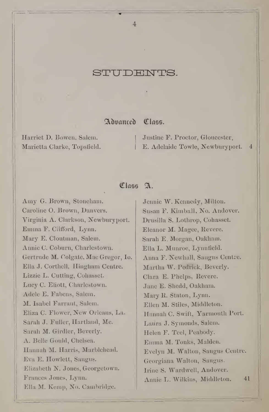# STUDENTS.

# Advanced Class.

Harriet D. Bowen, Salem. Marietta Clarke, Topsfield.

Justine F. Proctor, Gloucester. E. Adelaide Towle, Newburyport.  $\overline{4}$ 

# Class<sub>2</sub>

Amy G. Brown, Stoncham. Caroline O. Brown, Danvers. Virginia A. Clarkson, Newburyport. Emma F. Ciifford, Lynn. Mary E. Cloutman, Salem. Annie C. Coburn, Charlestown. Gertrude M. Colgate, Mac Gregor, Io. Ella J. Corthell, Hingham Centre. Lizzie L. Cutting, Cohasset. Lucy C. Eliott, Charlestown. Adele E. Fabens, Salem. M. Isabel Farrant, Salem. Eliza C. Flower, New Orleans, La. Sarah J. Fuller, Hartland, Me. Sarah M. Girdler, Beverly. A. Belle Gould, Chelsea. Hannah M. Harris, Marblehead. Eva E. Howlett, Saugus. Elizabeth N. Jones, Georgetown. Frances Jones, Lynn. Ella M. Kemp, No. Cambridge.

Jennie W. Kennedy, Milton. Susan F. Kimball, No. Andover. Drusilla S. Lothrop, Cohasset. Eleanor M. Magee, Revere. Sarah E. Morgan, Oakham. Ella L. Munroe, Lynnfield. Anna F. Newhall, Sangus Centre. Martha W. Pedrick, Beverly. Clara E. Phelps, Revere. Jane E. Shedd, Oakham. Mary R. Staton, Lynn. Ellen M. Stiles, Middleton. Hannah C. Swift, Yarmouth Port. Laura J. Symonds, Salem. Helen F. Teel, Peabody. Emma M. Tonks, Malden. Evelyn M. Walton, Saugus Centre. Georgiana Walton, Saugus. Irine S. Wardwell, Andover. Annie L. Wilkins, Middleton. 41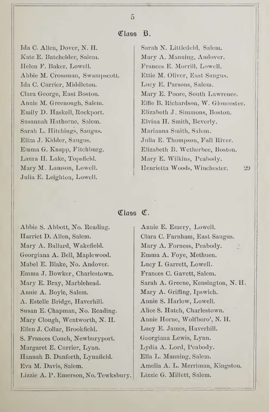# $\mathcal{O}$ lass  $\mathcal{B}$ .

5

Ida C. Allen, Dover, N. H. Kate E. Batchelder, Salem. | Mary A. Manning, Andover. Helen F. Baker. Lowell. Frances E. Morrill, Lowell. Abbie M. Crossman, Swampscott. | Ettie M. Oliver, East Saugus. Ida C. Currier, Middleton. | Lucy E. Parsons, Salem. Susannah Hathorne, Salem. Elvina H. Smith, Beverly. Sarah L. Hitchings, Saugus. | Marianna Smith, Salem. Laura H. Lake, Topsfield. Mary E. Wilkins, Peabody. Mary M. Lamson, Lowell. Henrietta Woods, Winchester. 29 Julia E. Leighton, Lowell.

# Sarah N. Littlefield, Salem. Clara George, East Boston. Mary E. Poore, South Lawrence. Annie M. Greenough, Salem. | Effie B. Richardson, W. Gloucester. Emily D. Haskell, Kockport. Elizabeth J. Simmons, Boston. Eliza J. Kidder, Saugus. Julia E. Thompson, Fall River. Emma G. Knapp, Fitchburg. Elizabeth B. Wetherbee, Boston.

# Class C.

Abbie S. Abbott, No. Heading. Annie E. Emery, Lowell. Harriet D. Allen, Salem. (Clara C. Farnham, East Saugus.) Mary A. Ballard, Wakefield. Mary A. Forness, Peabody. Georgiana A. Bell, Maplewood. Emma A. Foye, Methuen. Mabel E. Blake, No. Andover. | Lucy I. Garrett, Lowell. Emma J. Bowker, Charlestown. | Frances C. Gavett, Salem. Annie A. Boyle, Salem. Mary A. Griffing, Ipswich. A. Estelle Bridge, Haverhill. Annie S. Harlow, Lowell. Susan E. Chapman, No. Reading. | Alice S. Hatch, Charlestown. Mary Clough, Wentworth, N. H. Annie Horne, Wolfboro', N. H. Ellen J. Collar, Brookfield. Lucy E. James, Haverhill. S. Frances Couch, Newburyport. | Georgiana Lewis, Lynn. Margaret E. Currier, Lynn. | Lydia A. Lord, Peabody. Hannah B. Danforth, Lynnfield. Ella L. Manning, Salem. Eva M. Davis, Salem. Amelia A. L. Merriman, Kingston. Lizzie A. P. Emerson, No. Tewksbury. Lizzie G. Millett, Salem.

Mary E. Bray, Marblehead. Sarah A. Greene, Kensington, N. H.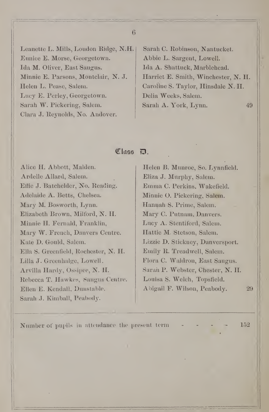Leanette L. Mills, Loudon Ridge, N.H. | Sarah C. Robinson, Nantucket. Eunice E. Morse, Georgetown. Abbie L. Sargent, Lowell. Ida M. Oliver, East Saugus. 1da A. Shattuck, Marblehead. Minnie E. Parsons, Montclair, N. J. Harriet E. Smith, Winchester, N. H. Helen L. Pease, Salem. Caroline S. Taylor, Hinsdale N. H. Lucy E. Perley, Georgetown. Delia Weeks, Salem. Sarah W. Pickering, Salem. Sarah A. York, Lynn. 49 Clara J. Reynolds, No. Andover.

# Class **D**.

Alice H. Abbott, Malden. Helen B. Munroe, So. Lynnfield. Ardelle Allard, Salem. Eliza J. Murphy, Salem. Effie J. Batchelder, No. Reading. | Emma C. Perkins. Wakefield. Adelaide A. Betts, Chelsea. Minnie O. Pickering, Salem. Mary M. Bosworth, Lynn. Hannah S. Prime, Salem. Elizabeth Brown, Milford, N. H. Mary C. Putnam, Danvers. Minnie H. Fernald, Franklin, Kucy A. Stentiford, Salem. Mary W. French, Danvers Centre. | Hattie M. Stetson, Salem. Kate D. Gould, Salem. **Lizzie D. Stickney, Danversport.** Ella S. Greenfield, Rochester, N. H. | Emily R. Treadwell, Salem. Lilla J. Greenhalge, Lowell. Flora C. Waldron, East Saugus. Arvilla Hardy, Ossipee, N. H. Sarah P. Webster, Chester, N. H. Rebecca T. Hawkes, Saugus Centre. | Louisa S. Welch, Topsfield. Ellen E. Kendall, Dunstable. Abigail F. Wilson, Peabody. 29 Sarah J. Kimball, Peabody.

Number of pupils in attendance the present term  $\qquad$  . . . . . . . . 152 .

»

#### 6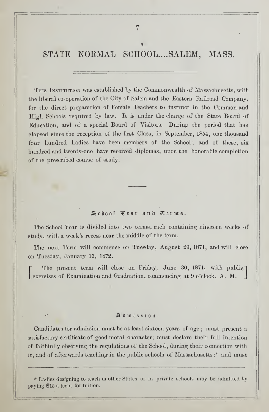# STATE NORMAL SCHOOL....SALEM, MASS.

This Institution was established by the Commonwealth of Massachusetts, with the liberal co-operation of the City of Salem and the Eastern Railroad Company, for the direct preparation of Female Teachers to instruct in the Common and High Schools required by law. It is under the charge of the State Board of Education, and of a special Board of Visitors. During the period that has elapsed since the reception of the first Class, in September, 1854, one thousand four hundred Ladies have been members of the School ; and of these, six hundred and twenty-one have received diplomas, upon the honorable completion of the prescribed course of study.

#### $S$ chool Year and Terms.

The School Year is divided into two terms, each containing nineteen weeks of study, with a week's recess near the middle of the term.

The next Term will commence on Tuesday, August 29, 1871, and will close on Tuesday, January 16, 1872.

The present term will close on Friday, June 30, 1871, with public $\top$ exercises of Examination and Graduation, commencing at 9 o'clock, A. M.

#### $\mathbb R$  d  $m$  (s  $s$  f o  $n$ ).

Candidates for admission must be at least sixteen years of age ; must present a satisfactory certificate of good moral character; must declare their full intention of faithfully observing the regulations of the School, during their connection with it, and of afterwards teaching in the public schools of Massachusetts ;\* and must

\* Ladies designing to teach in other States or in private schools may be admitted by paying #15 a term for tuition.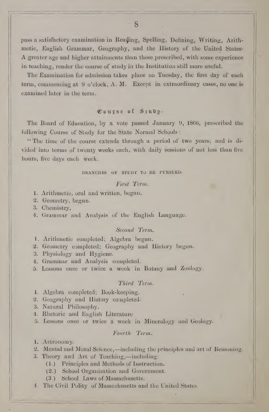pass a satisfactory examination in Reading, Spelling, Defining, Writing, Arithmetic, English Grammar, Geography, and the History of the United States- A greater age and higher attainments than those prescribed, with some experience in teaching, render the course of study in the Institution still more useful.

The Examination for admission takes place on Tuesday, the first day of each term, commencing at 9 o'clock, A. M. Except in extraordinary cases, no one is examined later in the term.

#### Course of Study.

The Board of Education, by a vote passed January 0, 1800, prescribed the following Course of Study for the State Normal Schools :

" The time of the course extends through a period of two years; and is di vided into terms of twenty weeks each, with daily sessions of not less than five hours, five days each week.

#### BRANCHES OF STUDY TO BE PURSUED.

#### First Term.

- 1. Arithmetic, oral and written, begun.
- 2. Geometry, begun.
- 3. Chemistry.
- 4. Grammar and Analysis of the English Language.

#### Second Term,

- 1. Arithmetic completed; Algebra begun.
- 2. Geometry completed; Geography and History begun.
- 3. Physiology and Hygiene.
- 4. Grammar and Analysis completed.
- 5. Lessons once or twice a week in Botany and Zoology.

#### Third Term.

- 1. Algebra completed; Book-keeping.
- 2. Geography and History completed.
- 3. Natural Philosophy.
- 4. Rhetoric and English Literature
- 5. Lessons once or twice a week in Mineralogy and Geology.

#### Fourth Term.

- 1. Astronomy.
- 2. Mental and Moral Science,—including the principles and art of Reasoning.
- 3. Theory and Art of Teaching,—including:
	- ( I. ) Principles and Methods of Instruction.
	- (2.) School Organization and Government.
	- (3) School Laws of Massachusetts.
- 4. The Civil Polity of Massachusetts and the United States.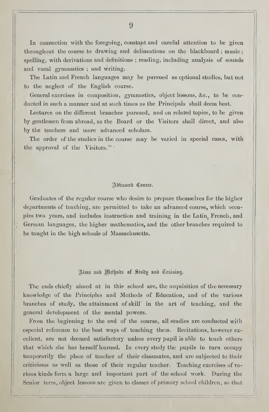In connection with the foregoing, constant and careful attention to be given throughout the course to drawing and delineations on the blackboard ; music spelling, with derivations and definitions ; reading, including analysis of sounds and vocal gymnastics ; and writing.

The Latin and French languages may be pursued as optional studies, but not to the neglect of the English course.

General exercises in composition, gymnastics, object lessons, &c., to be con ducted in such a manner and at such times as the Principals shall deem best.

Lectures on the different branches pursued, and on related topics, to be given by gentlemen from abroad, as the Board or the Visitors shall direct, and also by the teachers and more advanced scholars.

The order of the studies in the course may be varied in special cases, with the approval of the Visitors." '

#### Adbanced Course.

Graduates of the regular course who desire to prepare themselves for the higher departments of teaching, are permitted to take an advanced course, which occupies two years, and includes instruction and training in the Latin^ French, and German languages, the higher mathematics, and the other branches required to be taught in the high schools of Massachusetts.

#### §lims ani> |t);ctI)obs of ^tubjr anb Spraining.

The ends chiefly aimed at in this school are, the acquisition of the necessary knowledge of the Principles and Methods of Education, and of the various branches of study, the attainment of skill' in the art of teaching, and the general development of the mental powers.

From the beginning to the end of the course, all studies are conducted with especial reference to the best ways of teaching them. Recitations, however excellent, are not deemed satisfactory unless every pupil is able to teach others that which she has herself learned. In every study the pupils in turn occupy temporarily the place of teacher of their classmates, and are subjected to their criticisms as well as those of their regular teacher. Teaching exercises of various kinds form a large and important part of the school work. During the Senior term, object lessons are given to classes of primary school children, so that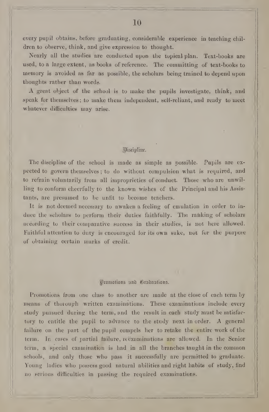every pupil obtains, before graduating, considerable experience in teaching children to observe, think, and give expression to thought.

Nearly all the studies are conducted upon the topical plan. Text-books are used, to a large extent, as books of reference. The committing of text-books to memory is avoided as far as possible, the scholars being trained to depend upon thoughts rather than words.

A great object of the school is to make the pupils investigate, think, and speak for themselves ; to make them independent, self-reliant, and ready to meet whatever difficulties may arise.

## Niscipline.

The discipline of the school is made as simple as possible. Pupils are ex pected to govern themselves ; to do without compulsion what is required, and to refrain voluntarily from all improprieties of conduct. Those who are unwilling to conform cheerfully to the known wishes of the Principal and hie Assistants, are presumed to be unfit to become teachers.

It is not deemed neceseary to awaken a feeling of emulation in order to in duce the scholars to perform their duties faithfully. The ranking of scholars according to their comparative success in their studies, is not here allowed. Faithful attention to duty is encouraged for its own sake, not for the purpose of obtaining certain marks of credit.

#### Promotions and Graduations.

Promotions from one class to another are made at the close of each term by means of thorough written examinations. These examinations include every study pursued during the term, and the result in each study must be satisfactory to entitle the pupil to advance to the study next in order. A general failure on the part of the pupil compels her to retake the entire work of the term. In cases of partial failure, reexaminations are allowed. In the Senior term, a special examination is had in all the branches taught in the common schools, and only those who pass it successfully are permitted to graduate. Young ladies who possess good natural abilities and right habits of study, find no serious difficulties in passing the required examinations.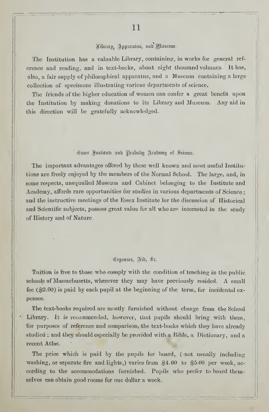The Institution has a valuable Library, containing, in works for general reference and reading, and in text-books, about eight thousand volumes. It has, also, a fair supply of philosophical apparatus, and <sup>a</sup> Mueeum containing a large collection of specimens illustrating various departments of science.

The friends of the higher education of women can confer <sup>a</sup> great benefit upon the Institution by making donations to its Library and Museum. Any aid in this direction will be gratefully acknowledged.

#### .<br>Essex Institute and Peabedy Academy ef Science.

The important advantages offered by these well known and most useful Institutions are freely enjoyed by the members of the Normal School. The large, and, in some respects, unequalled Museum and Cabinet belonging to the Institute and Academy, affords rare opportunities for studies in various departments of Science ; and the instruetive meetings of the Essex Institute for the discussion of Historical and Scientific subjects, possess great value for all who are interested in the study of History and of Nature.

#### Expenses, Aid, &c.

Tuition is free to those who comply with the condition of teaching in the public schools of Massachusetts, wherever they may have previously resided. A small fee (\$2.00) is paid by each pupil at the beginning of the term, for incidental ex- ,penses.

The text-books required are mostly furnished without charge from the School Library. It is recommended, however, that pupils should bring with them, for purposes of reference and comparison, the text-books which they have already studied ; and they should especially be provided with a Bible, a Dictionary, and a recent Atlas.

The price which is paid by the pupils for board, (not usually including washing, or separate fire and lights,) varies from \$4.00 to \$5.00 per week, ac cording to the accommodations furnished. Pupils who prefer to board themselves cam obtain good rooms for one dollar a week.